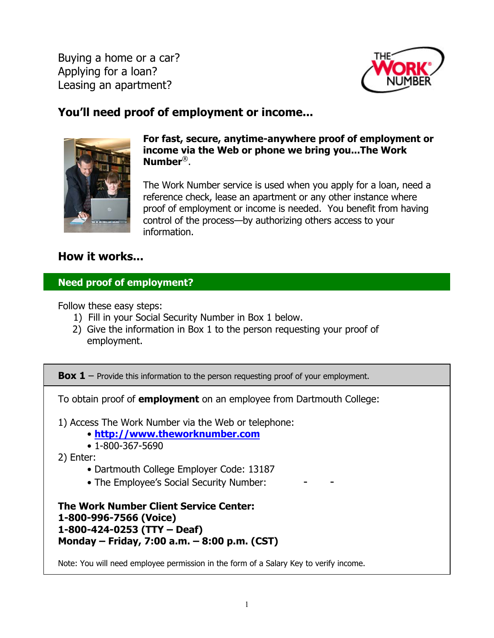Buying a home or a car? Applying for a loan? Leasing an apartment?



# **You'll need proof of employment or income...**



**For fast, secure, anytime-anywhere proof of employment or income via the Web or phone we bring you...The Work Number**®.

The Work Number service is used when you apply for a loan, need a reference check, lease an apartment or any other instance where proof of employment or income is needed. You benefit from having control of the process—by authorizing others access to your information.

# **How it works...**

# **Need proof of employment?**

Follow these easy steps:

- 1) Fill in your Social Security Number in Box 1 below.
- 2) Give the information in Box 1 to the person requesting your proof of employment.

**Box 1** – Provide this information to the person requesting proof of your employment.

To obtain proof of **employment** on an employee from Dartmouth College:

1) Access The Work Number via the Web or telephone:

- **<http://www.theworknumber.com>**
- 1-800-367-5690

2) Enter:

- Dartmouth College Employer Code: 13187
- The Employee's Social Security Number:

**The Work Number Client Service Center: 1-800-996-7566 (Voice) 1-800-424-0253 (TTY – Deaf) Monday – Friday, 7:00 a.m. – 8:00 p.m. (CST)** 

Note: You will need employee permission in the form of a Salary Key to verify income.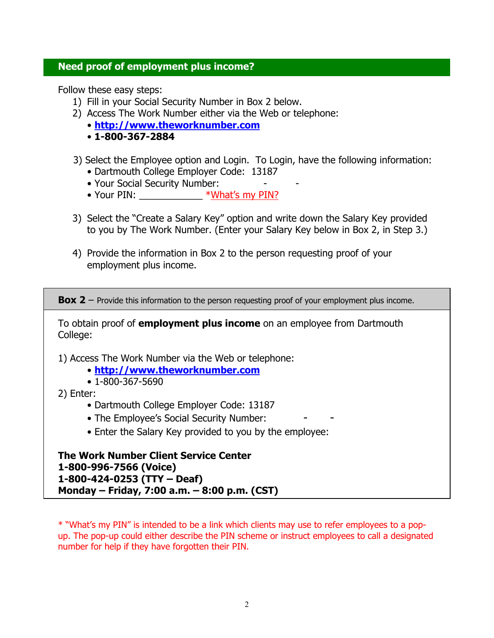#### **Need proof of employment plus income?**

Follow these easy steps:

- 1) Fill in your Social Security Number in Box 2 below.
- 2) Access The Work Number either via the Web or telephone:
	- **<http://www.theworknumber.com>**
	- • **1-800-367-2884**
- 3) Select the Employee option and Login. To Login, have the following information:
	- Dartmouth College Employer Code: 13187
	- Your Social Security Number:
	- Your PIN:  $*What's my PIN$
- 3) Select the "Create a Salary Key" option and write down the Salary Key provided to you by The Work Number. (Enter your Salary Key below in Box 2, in Step 3.)
- 4) Provide the information in Box 2 to the person requesting proof of your employment plus income.

**Box 2** – Provide this information to the person requesting proof of your employment plus income.

To obtain proof of **employment plus income** on an employee from Dartmouth College:

- 1) Access The Work Number via the Web or telephone:
	- **<http://www.theworknumber.com>**
	- 1-800-367-5690

2) Enter:

- Dartmouth College Employer Code: 13187
- The Employee's Social Security Number:
- Enter the Salary Key provided to you by the employee:

**The Work Number Client Service Center 1-800-996-7566 (Voice) 1-800-424-0253 (TTY – Deaf) Monday – Friday, 7:00 a.m. – 8:00 p.m. (CST)** 

\* "What's my PIN" is intended to be a link which clients may use to refer employees to a popup. The pop-up could either describe the PIN scheme or instruct employees to call a designated number for help if they have forgotten their PIN.